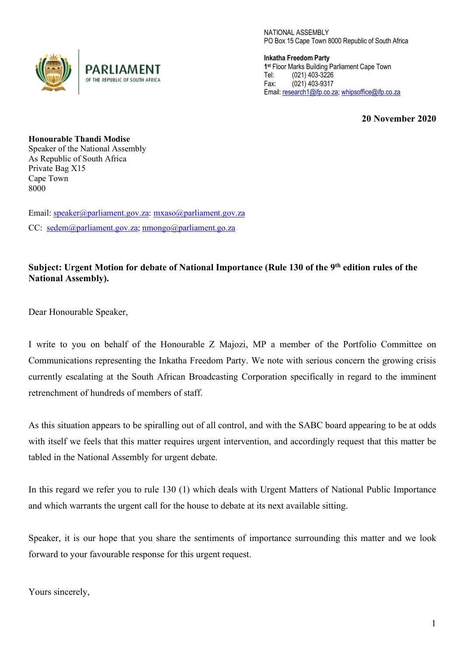

NATIONAL ASSEMBLY PO Box 15 Cape Town 8000 Republic of South Africa

**Inkatha Freedom Party 1st** Floor Marks Building Parliament Cape Town Tel: (021) 403-3226 Fax: (021) 403-9317 Email: research1@ifp.co.za; whipsoffice@ifp.co.za

**20 November 2020**

**Honourable Thandi Modise** Speaker of the National Assembly As Republic of South Africa Private Bag X15 Cape Town 8000

Email: speaker@parliament.gov.za: mxaso@parliament.gov.za CC: sedem@parliament.gov.za; nmongo@parliament.go.za

## **Subject: Urgent Motion for debate of National Importance (Rule 130 of the 9th edition rules of the National Assembly).**

Dear Honourable Speaker,

I write to you on behalf of the Honourable Z Majozi, MP a member of the Portfolio Committee on Communications representing the Inkatha Freedom Party. We note with serious concern the growing crisis currently escalating at the South African Broadcasting Corporation specifically in regard to the imminent retrenchment of hundreds of members of staff.

As this situation appears to be spiralling out of all control, and with the SABC board appearing to be at odds with itself we feels that this matter requires urgent intervention, and accordingly request that this matter be tabled in the National Assembly for urgent debate.

In this regard we refer you to rule 130 (1) which deals with Urgent Matters of National Public Importance and which warrants the urgent call for the house to debate at its next available sitting.

Speaker, it is our hope that you share the sentiments of importance surrounding this matter and we look forward to your favourable response for this urgent request.

Yours sincerely,